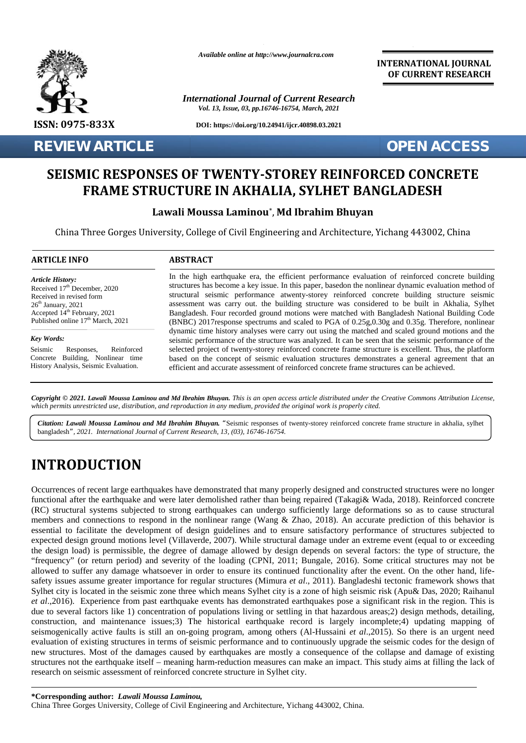

**REVIEW ARTICLE OPEN ACCESS** 

*Available online at http://www.journalcra.com*

*International Journal of Current Research Vol. 13, Issue, 03, pp.16746-16754, March, 2021*

**DOI: https://doi.org/10.24941/ijcr.40898.03.2021**

**INTERNATIONAL JOURNAL OF CURRENT RESEARCH**

# **SEISMIC RESPONSES OF TWENTY-STOREY REINFORCED CONCRETE FRAME STRUCTURE IN AKHALIA, SYLHET BANGLADESH SYLHET BANGLADESH**

## **Lawali Moussa Laminou**\* , **Md Ibrahim Bhuyan Lawali Ibrahim Bhuyan**

China Three Gorges University, College of Civil Engineering and Architecture, Yichang 443002, China

#### **ARTICLE INFO ABSTRACT ARTICLE ABSTRACT**

*Article History: Article History:* Received  $17<sup>th</sup>$  December, 2020 Received 17 December, 2020<br>Received in revised form  $26<sup>th</sup> January, 2021$ Received in revised form<br>
26<sup>th</sup> January, 2021 as<br>
Accepted 14<sup>th</sup> February, 2021 **B** Published online  $17<sup>th</sup>$  March, 2021

*Key Words: Key Words:*

Seismic Responses, Concrete Building, Nonlinear time History Analysis, Seismic Evaluation. Reinforced Accepted 14<sup>th</sup> February, 2021<br>
Published online 17<sup>th</sup> March, 2021<br> **Key Words:**<br>
Seismic Responses, Reinforced<br>
Concrete Building, Nonlinear time<br>
History Analysis, Seismic Evaluation.

In the high earthquake era, the efficient performance evaluation of reinforced concrete building structures has become a key issue. In this paper, basedon the nonlinear dynamic evaluation method of structural seismic performance atwenty-storey reinforced concrete building structure seismic assessment was carry out. the building structure was considered to be built in Akhalia, Sylhet Bangladesh. Four recorded ground motions were matched with Bangladesh National Building Code (BNBC) 2017response spectrums and scaled to PGA of 0.25g,0.30g and 0.35g. Therefore, nonlinear dynamic time history analyses were carry out using the matched and scaled ground motions and the seismic performance of the structure was analyzed. It can be seen that the seismic performance of the selected project of twenty-storey reinforced concrete frame structure is excellent. Thus, the platform selected project of twenty-storey reinforced concrete frame structure is excellent. Thus, the platform<br>based on the concept of seismic evaluation structures demonstrates a general agreement that an efficient and accurate assessment of reinforced concrete frame structures can be achieved. In the high earthquake era, the efficient performance evaluation of reinforced concrete build<br>structures has become a key issue. In this paper, basedon the nonlinear dynamic evaluation methoc<br>structural seismic performance Form and Marcon Structures has becomposity of the served and the served and the served and the served and the served and the served and the served and the served and the served and the served and the served and the served

Copyright © 2021. Lawali Moussa Laminou and Md Ibrahim Bhuyan. This is an open access article distributed under the Creative Commons Attribution License, **Copyright © 2021. Lawali Moussa Laminou and Md Ibrahim Bhuyan.** This is an open access article distributed under the Cre<br>which permits unrestricted use, distribution, and reproduction in any medium, provided the original

Citation: Lawali Moussa Laminou and Md Ibrahim Bhuyan. "Seismic responses of twenty-storey reinforced concrete frame structure in akhalia, sylhet bangladesh*", 2021. International Journal of Current Research, 13, (03), 16746-16754.*

# **INTRODUCTION INTRODUCTION**

Occurrences of recent large earthquakes have demonstrated that many properly designed and constructed structures were no longer functional after the earthquake and were later demolished rather than being repaired (Takagi& Wada, 2018). Reinforced concrete (RC) structural systems subjected to strong earthquakes can undergo sufficiently large deformations so as to cause structural members and connections to respond in the nonlinear range (Wang & Zhao, 2018). An accurate prediction of this behavior is essential to facilitate the development of design guidelines and to ensure satisfactory performance of structures subjected to expected design ground motions level (Villaverde, 2007). While structural damage under an extreme event (equal to or exceeding the design load) is permissible, the degree of damage allowed by design depends on several factors: the type of structure, the "frequency" (or return period) and severity of the loading (CPNI, 2011; Bungale, 2016). Some critical structures may not be "frequency" of allowed to suffer any damage whatsoever in order to ensure its continued functionality after the event. On the other hand, life safety issues assume greater importance for regular structures (Mimura *et al*., 2011). Bangladeshi tectonic framework shows that Sylhet city is located in the seismic zone three which means Sylhet city is a zone of high seismic risk (Apu& Das, 2020; Raihanul *et al*.,2016). Experience from past earthquake events has demonstrated earthquakes pose a significant risk in the region. This is due to several factors like 1) concentration of populations living or settling in that hazardous areas;2) design methods, detailing, construction, and maintenance issues;3) The historical earthquake record is largely incomplete;4) updating mapping of seismogenically active faults is still an on-going program, among others (Al-Hussaini *et al*.,2015). So there is an urgent need evaluation of existing structures in terms of seismic performance and to continuously upgrade the seismic codes for the design of new structures. Most of the damages caused by earthquakes are mostly a consequence of the collapse and damage of existing structures not the earthquake itself – meaning harm-reduction measures can make an impact. This study aims at filling the lack of research on seismic assessment of reinforced concrete structure in Sylhet city. Occurrences of recent large earthquakes have demonstrated that many properly designed and constructed structures were no longer functional after the earthquake and were later demolished rather than being repaired (Takagi& allowed to suffer any damage whatsoever in order to ensure its continued functionality after the safety issues assume greater importance for regular structures (Mimura *et al.*, 2011). Bangladeshi Sylhet city is located in *et al.*,2016). Experience from past earthquake events has demonstrated earthquakes pose a significant risk in the region. This is due to several factors like 1) concentration of populations living or settling in that haz Excellent Phocemas, 2020<br>
Reactions Procedure Sim Seconds as the comparison between two structural science profite<br>measurement was carry on a structural science profite measurement was carry on the huilding structure vas c large earthquakes have demonstrated that many properly designthquakes and were later demolished rather than being repaired ms subjected to strong earthquakes can undergo sufficiently tions to respond in the nonlinear rang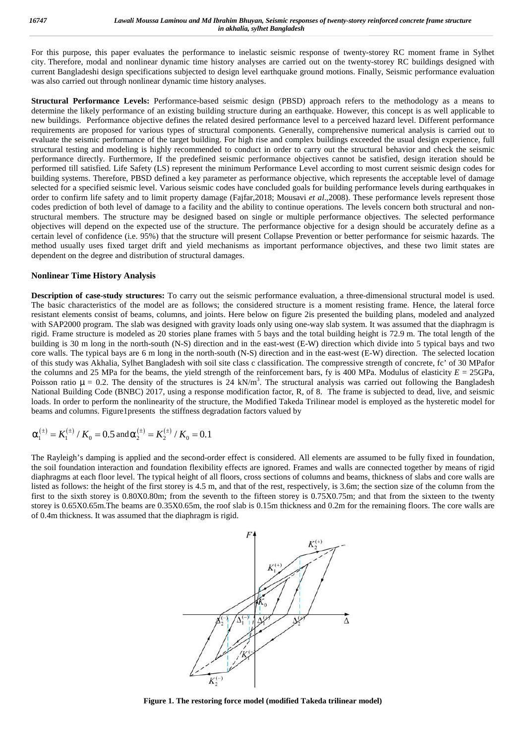For this purpose, this paper evaluates the performance to inelastic seismic response of twenty-storey RC moment frame in Sylhet city. Therefore, modal and nonlinear dynamic time history analyses are carried out on the twenty-storey RC buildings designed with current Bangladeshi design specifications subjected to design level earthquake ground motions. Finally, Seismic performance evaluation was also carried out through nonlinear dynamic time history analyses.

**Structural Performance Levels:** Performance-based seismic design (PBSD) approach refers to the methodology as a means to determine the likely performance of an existing building structure during an earthquake. However, this concept is as well applicable to new buildings. Performance objective defines the related desired performance level to a perceived hazard level. Different performance requirements are proposed for various types of structural components. Generally, comprehensive numerical analysis is carried out to evaluate the seismic performance of the target building. For high rise and complex buildings exceeded the usual design experience, full structural testing and modeling is highly recommended to conduct in order to carry out the structural behavior and check the seismic performance directly. Furthermore, If the predefined seismic performance objectives cannot be satisfied, design iteration should be performed till satisfied. Life Safety (LS) represent the minimum Performance Level according to most current seismic design codes for building systems. Therefore, PBSD defined a key parameter as performance objective, which represents the acceptable level of damage selected for a specified seismic level. Various seismic codes have concluded goals for building performance levels during earthquakes in order to confirm life safety and to limit property damage (Fajfar,2018; Mousavi *et al*.,2008). These performance levels represent those codes prediction of both level of damage to a facility and the ability to continue operations. The levels concern both structural and non structural members. The structure may be designed based on single or multiple performance objectives. The selected performance objectives will depend on the expected use of the structure. The performance objective for a design should be accurately define as a certain level of confidence (i.e. 95%) that the structure will present Collapse Prevention or better performance for seismic hazards. The method usually uses fixed target drift and yield mechanisms as important performance objectives, and these two limit states are dependent on the degree and distribution of structural damages.

#### **Nonlinear Time History Analysis**

**Description of case-study structures:** To carry out the seismic performance evaluation, a three-dimensional structural model is used. The basic characteristics of the model are as follows; the considered structure is a moment resisting frame. Hence, the lateral force resistant elements consist of beams, columns, and joints. Here below on figure 2is presented the building plans, modeled and analyzed with SAP2000 program. The slab was designed with gravity loads only using one-way slab system. It was assumed that the diaphragm is rigid. Frame structure is modeled as 20 stories plane frames with 5 bays and the total building height is 72.9 m. The total length of the building is 30 m long in the north-south (N-S) direction and in the east-west (E-W) direction which divide into 5 typical bays and two core walls. The typical bays are 6 m long in the north-south (N-S) direction and in the east-west (E-W) direction. The selected location of this study was Akhalia, Sylhet Bangladesh with soil site class c classification. The compressive strength of concrete, fc' of 30 MPafor the columns and 25 MPa for the beams, the yield strength of the reinforcement bars, fy is 400 MPa. Modulus of elasticity  $E = 25$ GPa, Poisson ratio  $\mu = 0.2$ . The density of the structures is 24 kN/m<sup>3</sup>. The structural analysis was carried out following the Bangladesh National Building Code (BNBC) 2017, using a response modification factor, R, of 8. The frame is subjected to dead, live, and seismic loads. In order to perform the nonlinearity of the structure, the Modified Takeda Trilinear model is employed as the hysteretic model for beams and columns. Figure1presents the stiffness degradation factors valued by performance tuncture,  $\gamma$ . In anchera, the performance was the performed by computed the same performed by shall and the same performed by the same of the same of the same of the same of the same of the same of the same Mark, 11 are parameters and initial performance objective stands to search the formula of the second of the search of the search of the search of the search of the search of the search of the search of the search of the s

$$
\Gamma_1^{(\pm)} = K_1^{(\pm)} / K_0 = 0.5
$$
 and  $\Gamma_2^{(\pm)} = K_2^{(\pm)} / K_0 = 0.1$ 

The Rayleigh's damping is applied and the second-order effect is considered. All elements are assumed to be fully fixed in foundation, the soil foundation interaction and foundation flexibility effects are ignored. Frames and walls are connected together by means of rigid diaphragms at each floor level. The typical height of all floors, cross sections of columns and beams, thickness of slabs and core walls are listed as follows: the height of the first storey is 4.5 m, and that of the rest, respectively, is 3.6m; the section size of the column from the first to the sixth storey is 0.80X0.80m; from the seventh to the fifteen storey is 0.75X0.75m; and that from the sixteen to the twenty storey is 0.65X0.65m.The beams are 0.35X0.65m, the roof slab is 0.15m thickness and 0.2m for the remaining floors. The core walls are of 0.4m thickness. It was assumed that the diaphragm is rigid.



**Figure 1. The restoring force model (modified Takeda trilinear model)**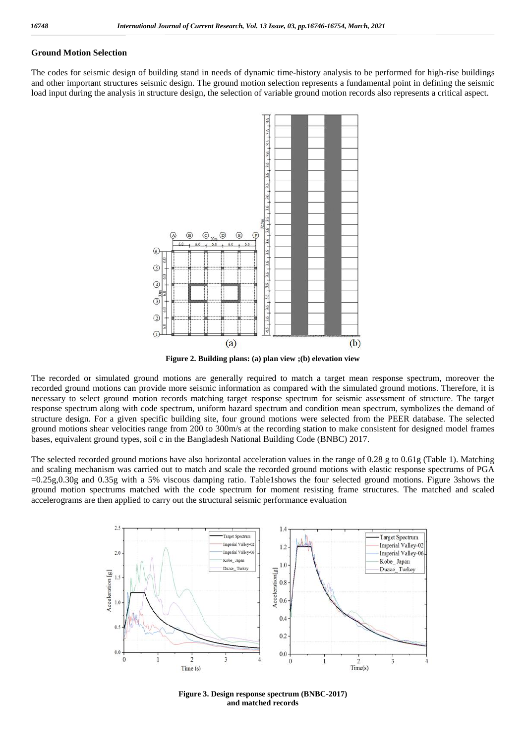#### **Ground Motion Selection**

The codes for seismic design of building stand in needs of dynamic time-history analysis to be performed for high-rise buildings and other important structures seismic design. The ground motion selection represents a fundamental point in defining the seismic load input during the analysis in structure design, the selection of variable ground motion records also represents a critical aspect.



**Figure 2. Building plans: (a) plan view ;(b) elevation view**

The recorded or simulated ground motions are generally required to match a target mean response spectrum, moreover the recorded ground motions can provide more seismic information as compared with the simulated ground motions. Therefore, it is necessary to select ground motion records matching target response spectrum for seismic assessment of structure. The target response spectrum along with code spectrum, uniform hazard spectrum and condition mean spectrum, symbolizes the demand of structure design. For a given specific building site, four ground motions were selected from the PEER database. The selected ground motions shear velocities range from 200 to 300m/s at the recording station to make consistent for designed model frames bases, equivalent ground types, soil c in the Bangladesh National Building Code (BNBC) 2017.

The selected recorded ground motions have also horizontal acceleration values in the range of 0.28 g to 0.61g (Table 1). Matching and scaling mechanism was carried out to match and scale the recorded ground motions with elastic response spectrums of PGA =0.25g,0.30g and 0.35g with a 5% viscous damping ratio. Table1shows the four selected ground motions. Figure 3shows the ground motion spectrums matched with the code spectrum for moment resisting frame structures. The matched and scaled accelerograms are then applied to carry out the structural seismic performance evaluation



**Figure 3. Design response spectrum (BNBC-2017) and matched records**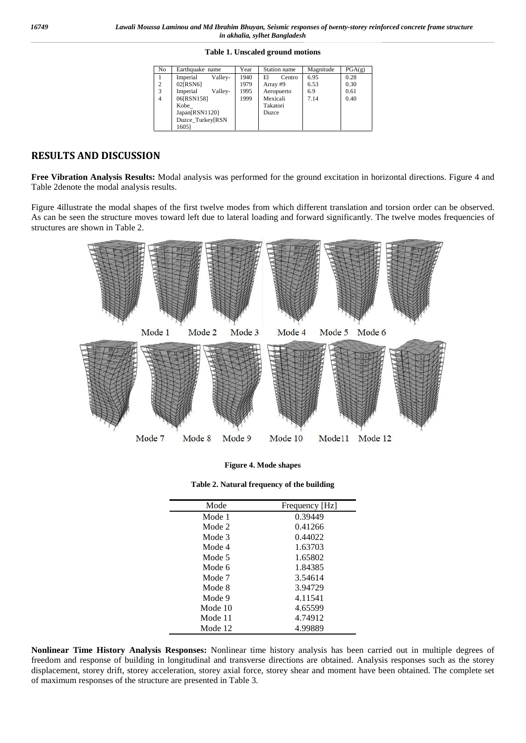|  | Table 1. Unscaled ground motions |  |  |
|--|----------------------------------|--|--|
|--|----------------------------------|--|--|

| No             | Earthquake name     | Year | Station name | Magnitude | PGA(g) |
|----------------|---------------------|------|--------------|-----------|--------|
|                | Valley-<br>Imperial | 1940 | E1<br>Centro | 6.95      | 0.28   |
| $\overline{2}$ | 02[RSN6]            | 1979 | Array #9     | 6.53      | 0.30   |
| 3              | Imperial<br>Valley- | 1995 | Aeropuerto   | 6.9       | 0.61   |
| $\overline{4}$ | 06[RSN158]          | 1999 | Mexicali     | 7.14      | 0.40   |
|                | Kobe                |      | Takatori     |           |        |
|                | Japan[RSN1120]      |      | <b>Duzce</b> |           |        |
|                | Duzce Turkey[RSN    |      |              |           |        |
|                | 16051               |      |              |           |        |

### **RESULTS AND DISCUSSION**

**Free Vibration Analysis Results:** Modal analysis was performed for the ground excitation in horizontal directions. Figure 4 and Table 2denote the modal analysis results.

Figure 4illustrate the modal shapes of the first twelve modes from which different translation and torsion order can be observed. As can be seen the structure moves toward left due to lateral loading and forward significantly. The twelve modes frequencies of structures are shown in Table 2.



| Mode    | Frequency [Hz] |
|---------|----------------|
| Mode 1  | 0.39449        |
| Mode 2  | 0.41266        |
| Mode 3  | 0.44022        |
| Mode 4  | 1.63703        |
| Mode 5  | 1.65802        |
| Mode 6  | 1.84385        |
| Mode 7  | 3.54614        |
| Mode 8  | 3.94729        |
| Mode 9  | 4.11541        |
| Mode 10 | 4.65599        |
| Mode 11 | 4.74912        |
| Mode 12 | 4.99889        |

**Nonlinear Time History Analysis Responses:** Nonlinear time history analysis has been carried out in multiple degrees of freedom and response of building in longitudinal and transverse directions are obtained. Analysis responses such as the storey displacement, storey drift, storey acceleration, storey axial force, storey shear and moment have been obtained. The complete set of maximum responses of the structure are presented in Table 3.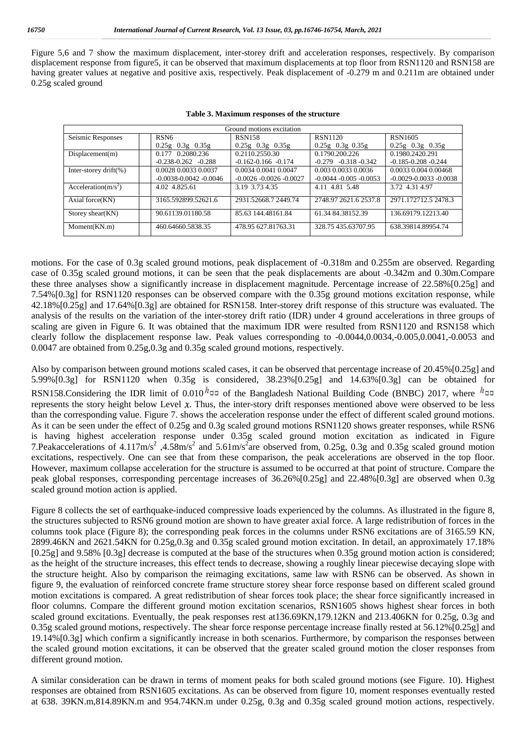Figure 5,6 and 7 show the maximum displacement, inter-storey drift and acceleration responses, respectively. By comparison displacement response from figure5, it can be observed that maximum displacements at top floor from RSN1120 and RSN158 are having greater values at negative and positive axis, respectively. Peak displacement of -0.279 m and 0.211m are obtained under 0.25g scaled ground

| Ground motions excitation |                             |                             |                            |                             |  |  |
|---------------------------|-----------------------------|-----------------------------|----------------------------|-----------------------------|--|--|
| Seismic Responses         | RSN <sub>6</sub>            | <b>RSN158</b>               | <b>RSN1120</b>             | RSN1605                     |  |  |
|                           | $0.25g$ $0.3g$ $0.35g$      | $0.25g$ $0.3g$ $0.35g$      | $0.25g$ $0.3g$ $0.35g$     | $0.25g$ $0.3g$ $0.35g$      |  |  |
| Displacement(m)           | 0.177 0.2080.236            | 0.2110.2550.30              | 0.1790.200.226             | 0.1980.2420.291             |  |  |
|                           | $-0.238 - 0.262 - 0.288$    | $-0.162 - 0.166 - 0.174$    | $-0.279$ $-0.318$ $-0.342$ | $-0.185 - 0.208 - 0.244$    |  |  |
| Inter-storey drift $(\%)$ | 0.0028 0.0033 0.0037        | 0.0034 0.0041 0.0047        | 0.003 0.0033 0.0036        | 0.0033 0.004 0.00468        |  |  |
|                           | $-0.0038 - 0.0042 - 0.0046$ | $-0.0026 - 0.0026 - 0.0027$ | $-0.0044 - 0.005 - 0.0053$ | $-0.0029 - 0.0033 - 0.0038$ |  |  |
| Acceleration( $m/s^2$ )   | 4.02 4.825.61               | 3.19 3.73 4.35              | 4.11 4.81 5.48             | 3.72 4.31 4.97              |  |  |
| Axial force (KN)          | 3165.592899.52621.6         | 2931.52668.7 2449.74        | 2748.97 2621.6 2537.8      | 2971.172712.5 2478.3        |  |  |
| Storey shear $(KN)$       | 90.61139.01180.58           | 85.63 144.48161.84          | 61.34 84.38152.39          | 136.69179.12213.40          |  |  |
| Moment(KN.m)              | 460.64660.5838.35           | 478.95 627.81763.31         | 328.75 435.63707.95        | 638.39814.89954.74          |  |  |

| Table 3. Maximum responses of the structure |  |
|---------------------------------------------|--|
|---------------------------------------------|--|

motions. For the case of 0.3g scaled ground motions, peak displacement of -0.318m and 0.255m are observed. Regarding case of 0.35g scaled ground motions, it can be seen that the peak displacements are about -0.342m and 0.30m.Compare these three analyses show a significantly increase in displacement magnitude. Percentage increase of 22.58%[0.25g] and 7.54%[0.3g] for RSN1120 responses can be observed compare with the 0.35g ground motions excitation response, while 42.18%[0.25g] and 17.64%[0.3g] are obtained for RSN158. Inter-storey drift response of this structure was evaluated. The analysis of the results on the variation of the inter-storey drift ratio (IDR) under 4 ground accelerations in three groups of scaling are given in Figure 6. It was obtained that the maximum IDR were resulted from RSN1120 and RSN158 which clearly follow the displacement response law. Peak values corresponding to -0.0044,0.0034,-0.005,0.0041,-0.0053 and 0.0047 are obtained from 0.25g,0.3g and 0.35g scaled ground motions, respectively.

Also by comparison between ground motions scaled cases, it can be observed that percentage increase of 20.45%[0.25g] and 5.99%[0.3g] for RSN1120 when 0.35g is considered, 38.23%[0.25g] and 14.63%[0.3g] can be obtained for RSN158.Considering the IDR limit of 0.010<sup> $h$ </sup> and of the Bangladesh National Building Code (BNBC) 2017, where  $h$ <sup>0</sup> represents the story height below Level  $x$ . Thus, the inter-story drift responses mentioned above were observed to be less than the corresponding value. Figure 7. shows the acceleration response under the effect of different scaled ground motions. As it can be seen under the effect of 0.25g and 0.3g scaled ground motions RSN1120 shows greater responses, while RSN6 is having highest acceleration response under 0.35g scaled ground motion excitation as indicated in Figure 7. Peakaccelerations of 4.117m/s<sup>2</sup>, 4.58m/s<sup>2</sup> and 5.61m/s<sup>2</sup>are observed from, 0.25g, 0.3g and 0.35g scaled ground motion excitations, respectively. One can see that from these comparison, the peak accelerations are observed in the top floor. However, maximum collapse acceleration for the structure is assumed to be occurred at that point of structure. Compare the peak global responses, corresponding percentage increases of 36.26%[0.25g] and 22.48%[0.3g] are observed when 0.3g scaled ground motion action is applied.

Figure 8 collects the set of earthquake-induced compressive loads experienced by the columns. As illustrated in the figure 8, the structures subjected to RSN6 ground motion are shown to have greater axial force. A large redistribution of forces in the columns took place (Figure 8); the corresponding peak forces in the columns under RSN6 excitations are of 3165.59 KN, 2899.46KN and 2621.54KN for 0.25g,0.3g and 0.35g scaled ground motion excitation. In detail, an approximately 17.18% [0.25g] and 9.58% [0.3g] decrease is computed at the base of the structures when 0.35g ground motion action is considered; as the height of the structure increases, this effect tends to decrease, showing a roughly linear piecewise decaying slope with the structure height. Also by comparison the reimaging excitations, same law with RSN6 can be observed. As shown in figure 9, the evaluation of reinforced concrete frame structure storey shear force response based on different scaled ground motion excitations is compared. A great redistribution of shear forces took place; the shear force significantly increased in floor columns. Compare the different ground motion excitation scenarios, RSN1605 shows highest shear forces in both scaled ground excitations. Eventually, the peak responses rest at136.69KN,179.12KN and 213.406KN for 0.25g, 0.3g and 0.35g scaled ground motions, respectively. The shear force response percentage increase finally rested at 56.12%[0.25g] and 19.14%[0.3g] which confirm a significantly increase in both scenarios. Furthermore, by comparison the responses between the scaled ground motion excitations, it can be observed that the greater scaled ground motion the closer responses from different ground motion.

A similar consideration can be drawn in terms of moment peaks for both scaled ground motions (see Figure. 10). Highest responses are obtained from RSN1605 excitations. As can be observed from figure 10, moment responses eventually rested at 638. 39KN.m,814.89KN.m and 954.74KN.m under 0.25g, 0.3g and 0.35g scaled ground motion actions, respectively.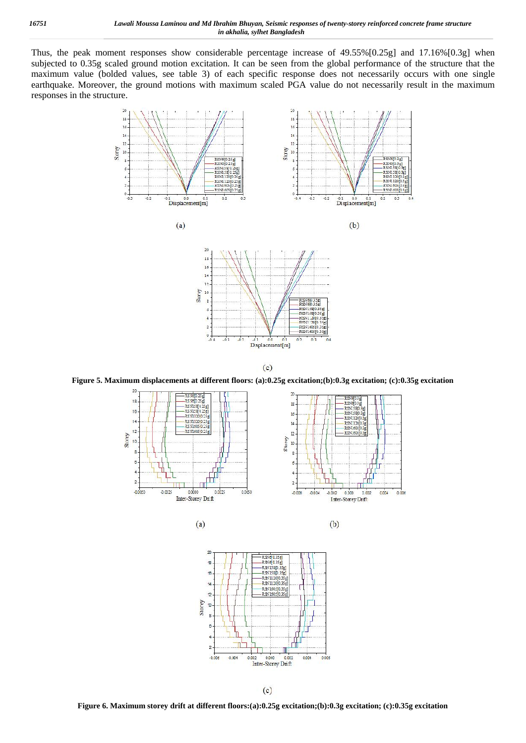Thus, the peak moment responses show considerable percentage increase of 49.55%[0.25g] and 17.16%[0.3g] when subjected to 0.35g scaled ground motion excitation. It can be seen from the global performance of the structure that the maximum value (bolded values, see table 3) of each specific response does not necessarily occurs with one single earthquake. Moreover, the ground motions with maximum scaled PGA value do not necessarily result in the maximum responses in the structure.











 $(c)$ 

**Figure 5. Maximum displacements at different floors: (a):0.25g excitation;(b):0.3g excitation; (c):0.35g excitation**









**Figure 6. Maximum storey drift at different floors:(a):0.25g excitation;(b):0.3g excitation; (c):0.35g excitation**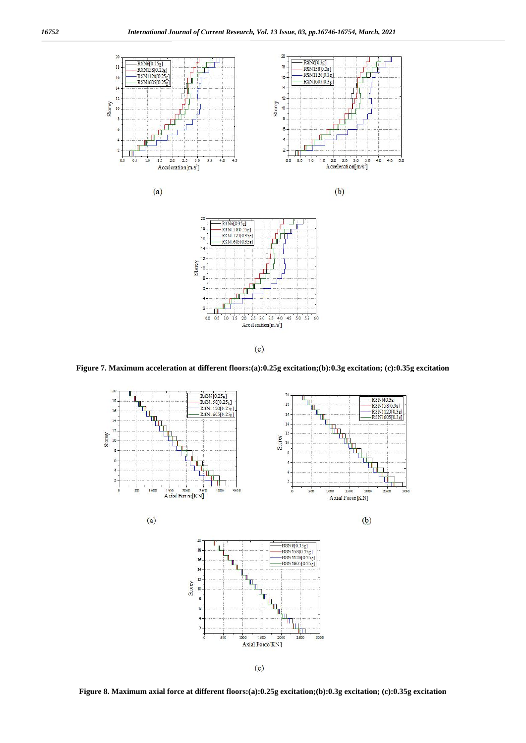

 $(c)$ 

**Figure 7. Maximum acceleration at different floors:(a):0.25g excitation;(b):0.3g excitation; (c):0.35g excitation**



**Figure 8. Maximum axial force at different floors:(a):0.25g excitation;(b):0.3g excitation; (c):0.35g excitation**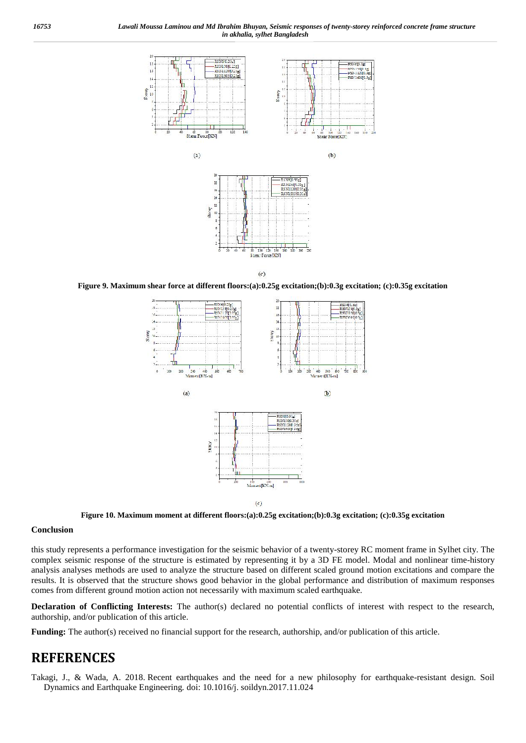



 $(c)$ **Figure 9. Maximum shear force at different floors:(a):0.25g excitation;(b):0.3g excitation; (c):0.35g excitation**



**Figure 10. Maximum moment at different floors:(a):0.25g excitation;(b):0.3g excitation; (c):0.35g excitation**

#### **Conclusion**

this study represents a performance investigation for the seismic behavior of a twenty-storey RC moment frame in Sylhet city. The complex seismic response of the structure is estimated by representing it by a 3D FE model. Modal and nonlinear time-history analysis analyses methods are used to analyze the structure based on different scaled ground motion excitations and compare the results. It is observed that the structure shows good behavior in the global performance and distribution of maximum responses comes from different ground motion action not necessarily with maximum scaled earthquake.

**Declaration of Conflicting Interests:** The author(s) declared no potential conflicts of interest with respect to the research, authorship, and/or publication of this article.

**Funding:** The author(s) received no financial support for the research, authorship, and/or publication of this article.

### **REFERENCES**

Takagi, J., & Wada, A. 2018. Recent earthquakes and the need for a new philosophy for earthquake-resistant design. Soil Dynamics and Earthquake Engineering*.* doi: 10.1016/j. soildyn.2017.11.024